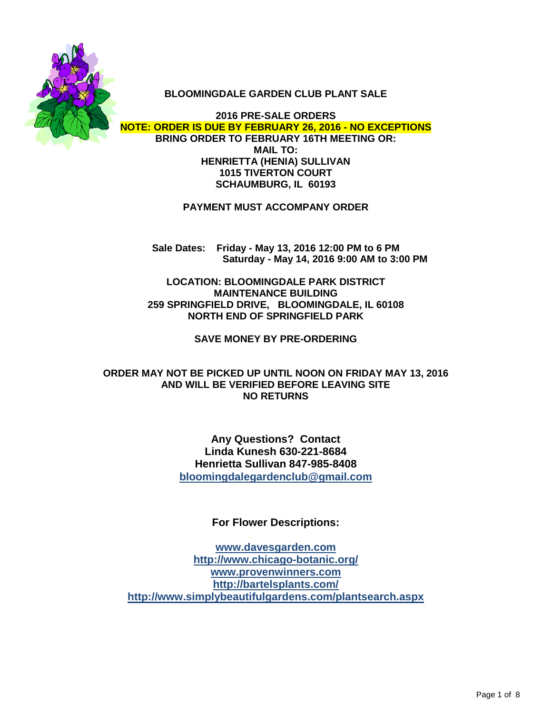

#### **BLOOMINGDALE GARDEN CLUB PLANT SALE**

**2016 PRE-SALE ORDERS NOTE: ORDER IS DUE BY FEBRUARY 26, 2016 - NO EXCEPTIONS BRING ORDER TO FEBRUARY 16TH MEETING OR: MAIL TO: HENRIETTA (HENIA) SULLIVAN 1015 TIVERTON COURT SCHAUMBURG, IL 60193**

**PAYMENT MUST ACCOMPANY ORDER**

**Sale Dates: Friday - May 13, 2016 12:00 PM to 6 PM Saturday - May 14, 2016 9:00 AM to 3:00 PM**

**LOCATION: BLOOMINGDALE PARK DISTRICT MAINTENANCE BUILDING 259 SPRINGFIELD DRIVE, BLOOMINGDALE, IL 60108 NORTH END OF SPRINGFIELD PARK**

**SAVE MONEY BY PRE-ORDERING**

**ORDER MAY NOT BE PICKED UP UNTIL NOON ON FRIDAY MAY 13, 2016 AND WILL BE VERIFIED BEFORE LEAVING SITE NO RETURNS**

> **Any Questions? Contact Linda Kunesh 630-221-8684 Henrietta Sullivan 847-985-8408 bloomingdalegardenclub@gmail.com**

> > **For Flower Descriptions:**

**www.davesgarden.com http://www.chicago-botanic.org/ www.provenwinners.com http://bartelsplants.com/ http://www.simplybeautifulgardens.com/plantsearch.aspx**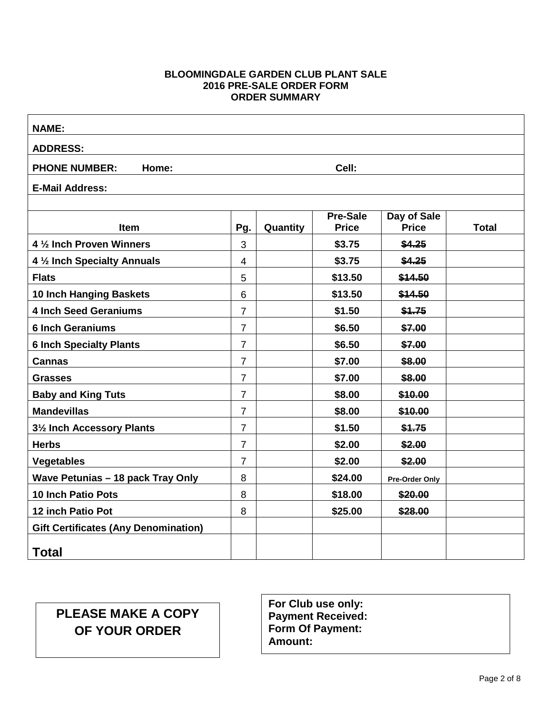#### **BLOOMINGDALE GARDEN CLUB PLANT SALE 2016 PRE-SALE ORDER FORM ORDER SUMMARY**

| <b>NAME:</b>                                |                |          |                                 |                             |              |  |  |  |  |
|---------------------------------------------|----------------|----------|---------------------------------|-----------------------------|--------------|--|--|--|--|
| <b>ADDRESS:</b>                             |                |          |                                 |                             |              |  |  |  |  |
| Cell:<br><b>PHONE NUMBER:</b><br>Home:      |                |          |                                 |                             |              |  |  |  |  |
| <b>E-Mail Address:</b>                      |                |          |                                 |                             |              |  |  |  |  |
|                                             |                |          |                                 |                             |              |  |  |  |  |
| <b>Item</b>                                 | Pg.            | Quantity | <b>Pre-Sale</b><br><b>Price</b> | Day of Sale<br><b>Price</b> | <b>Total</b> |  |  |  |  |
| 4 1/2 Inch Proven Winners                   | 3              |          | \$3.75                          | \$4.25                      |              |  |  |  |  |
| 4 1/2 Inch Specialty Annuals                | $\overline{4}$ |          | \$3.75                          | \$4.25                      |              |  |  |  |  |
| <b>Flats</b>                                | 5              |          | \$13.50                         | \$14.50                     |              |  |  |  |  |
| 10 Inch Hanging Baskets                     | 6              |          | \$13.50                         | \$14.50                     |              |  |  |  |  |
| <b>4 Inch Seed Geraniums</b>                | $\overline{7}$ |          | \$1.50                          | \$1.75                      |              |  |  |  |  |
| <b>6 Inch Geraniums</b>                     | $\overline{7}$ |          | \$6.50                          | \$7.00                      |              |  |  |  |  |
| <b>6 Inch Specialty Plants</b>              | $\overline{7}$ |          | \$6.50                          | \$7.00                      |              |  |  |  |  |
| <b>Cannas</b>                               | $\overline{7}$ |          | \$7.00                          | \$8.00                      |              |  |  |  |  |
| <b>Grasses</b>                              | $\overline{7}$ |          | \$7.00                          | \$8.00                      |              |  |  |  |  |
| <b>Baby and King Tuts</b>                   | $\overline{7}$ |          | \$8.00                          | \$10.00                     |              |  |  |  |  |
| <b>Mandevillas</b>                          | $\overline{7}$ |          | \$8.00                          | \$10.00                     |              |  |  |  |  |
| 31/2 Inch Accessory Plants                  | $\overline{7}$ |          | \$1.50                          | \$1.75                      |              |  |  |  |  |
| <b>Herbs</b>                                | $\overline{7}$ |          | \$2.00                          | \$2.00                      |              |  |  |  |  |
| <b>Vegetables</b>                           | $\overline{7}$ |          | \$2.00                          | \$2.00                      |              |  |  |  |  |
| Wave Petunias - 18 pack Tray Only           | 8              |          | \$24.00                         | Pre-Order Only              |              |  |  |  |  |
| <b>10 Inch Patio Pots</b>                   | 8              |          | \$18.00                         | \$20.00                     |              |  |  |  |  |
| 12 inch Patio Pot                           | 8              |          | \$25.00                         | \$28.00                     |              |  |  |  |  |
| <b>Gift Certificates (Any Denomination)</b> |                |          |                                 |                             |              |  |  |  |  |
| <b>Total</b>                                |                |          |                                 |                             |              |  |  |  |  |

# **PLEASE MAKE A COPY OF YOUR ORDER**

**For Club use only: Payment Received: Form Of Payment: Amount:**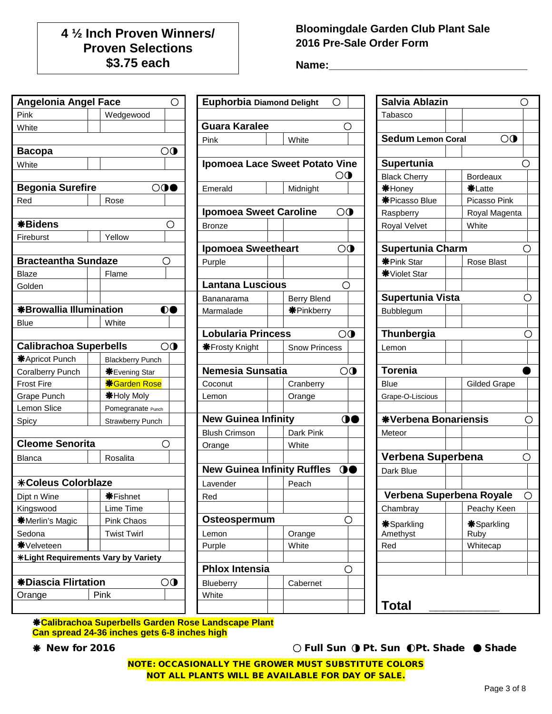# **4 ½ Inch Proven Winners/ Proven Selections \$3.75 each**

### **Bloomingdale Garden Club Plant Sale 2016 Pre-Sale Order Form**

**Name:\_\_\_\_\_\_\_\_\_\_\_\_\_\_\_\_\_\_\_\_\_\_\_\_\_\_\_\_\_\_\_\_\_**

| <b>Angelonia Angel Face</b>         |                         | O                       | <b>Euphorbia Diamond Delight</b>      |                      | $\bigcirc$     | Salvia Ablazin              |                     | O       |
|-------------------------------------|-------------------------|-------------------------|---------------------------------------|----------------------|----------------|-----------------------------|---------------------|---------|
| Pink                                | Wedgewood               |                         |                                       |                      |                | Tabasco                     |                     |         |
| White                               |                         |                         | <b>Guara Karalee</b>                  |                      | О              |                             |                     |         |
|                                     |                         |                         | Pink                                  | White                |                | <b>Sedum Lemon Coral</b>    | $\bigcirc$          |         |
| <b>Bacopa</b>                       |                         | $\overline{\mathbf{O}}$ |                                       |                      |                |                             |                     |         |
| White                               |                         |                         | <b>Ipomoea Lace Sweet Potato Vine</b> |                      |                | Supertunia                  |                     | ( )     |
|                                     |                         |                         |                                       |                      | $\bigcirc$     | <b>Black Cherry</b>         | <b>Bordeaux</b>     |         |
| <b>Begonia Surefire</b>             |                         | $\circledcirc$          | Emerald                               | Midnight             |                | <b>*Honey</b>               | <b>*Latte</b>       |         |
| Red                                 | Rose                    |                         |                                       |                      |                | <b>*Picasso Blue</b>        | Picasso Pink        |         |
|                                     |                         |                         | <b>Ipomoea Sweet Caroline</b>         |                      | $\circledcirc$ | Raspberry                   | Royal Magenta       |         |
| <b>*Bidens</b>                      |                         | О                       | <b>Bronze</b>                         |                      |                | Royal Velvet                | White               |         |
| Fireburst                           | Yellow                  |                         |                                       |                      |                |                             |                     |         |
|                                     |                         |                         | <b>Ipomoea Sweetheart</b>             |                      | $\bigcirc$     | <b>Supertunia Charm</b>     |                     | O       |
| <b>Bracteantha Sundaze</b>          |                         | O                       | Purple                                |                      |                | <b>米Pink Star</b>           | Rose Blast          |         |
| <b>Blaze</b>                        | Flame                   |                         |                                       |                      |                | <b>*</b> Violet Star        |                     |         |
| Golden                              |                         |                         | <b>Lantana Luscious</b>               |                      | O              |                             |                     |         |
|                                     |                         |                         | Bananarama                            | <b>Berry Blend</b>   |                | Supertunia Vista            |                     | O       |
| <b>*Browallia Illumination</b>      |                         | $\bullet$               | Marmalade                             | <b>*Pinkberry</b>    |                | Bubblegum                   |                     |         |
| <b>Blue</b>                         | White                   |                         |                                       |                      |                |                             |                     |         |
|                                     |                         |                         | Lobularia Princess                    |                      | $\overline{O}$ | Thunbergia                  |                     | О       |
| <b>Calibrachoa Superbells</b>       |                         | $\overline{O}$          | <b><math>*</math>Frosty Knight</b>    | <b>Snow Princess</b> |                | Lemon                       |                     |         |
| <b>米Apricot Punch</b>               | <b>Blackberry Punch</b> |                         |                                       |                      |                |                             |                     |         |
| <b>Coralberry Punch</b>             | <b>*Evening Star</b>    |                         | Nemesia Sunsatia                      |                      | $\overline{O}$ | <b>Torenia</b>              |                     |         |
| <b>Frost Fire</b>                   | <b>*Garden Rose</b>     |                         | Coconut                               | Cranberry            |                | <b>Blue</b>                 | <b>Gilded Grape</b> |         |
| Grape Punch                         | <b>*Holy Moly</b>       |                         | Lemon                                 | Orange               |                | Grape-O-Liscious            |                     |         |
| Lemon Slice                         | Pomegranate Punch       |                         |                                       |                      |                |                             |                     |         |
| Spicy                               | Strawberry Punch        |                         | <b>New Guinea Infinity</b>            |                      | $\mathbf{O}$   | <b>*Verbena Bonariensis</b> |                     | O       |
|                                     |                         |                         | <b>Blush Crimson</b>                  | Dark Pink            |                | Meteor                      |                     |         |
| <b>Cleome Senorita</b>              |                         | O                       | Orange                                | White                |                |                             |                     |         |
| <b>Blanca</b>                       | Rosalita                |                         |                                       |                      |                | Verbena Superbena           |                     | O       |
|                                     |                         |                         | <b>New Guinea Infinity Ruffles</b>    |                      | $\bullet$      | Dark Blue                   |                     |         |
| <b>*Coleus Colorblaze</b>           |                         |                         | Lavender                              | Peach                |                |                             |                     |         |
| Dipt n Wine                         | <b>*Fishnet</b>         |                         | Red                                   |                      |                | Verbena Superbena Royale    |                     | $\circ$ |
| Kingswood                           | Lime Time               |                         |                                       |                      |                | Chambray                    | Peachy Keen         |         |
| <b>*Merlin's Magic</b>              | Pink Chaos              |                         | Osteospermum                          |                      | O              | <b>*Sparkling</b>           | *Sparkling          |         |
| Sedona                              | <b>Twist Twirl</b>      |                         | Lemon                                 | Orange               |                | Amethyst                    | Ruby                |         |
| <b><math>*</math></b> ∨elveteen     |                         |                         | Purple                                | White                |                | Red                         | Whitecap            |         |
| *Light Requirements Vary by Variety |                         |                         |                                       |                      |                |                             |                     |         |
|                                     |                         |                         | <b>Phlox Intensia</b>                 |                      | О              |                             |                     |         |
| <b>*Diascia Flirtation</b>          |                         | $\bigcirc$              | Blueberry                             | Cabernet             |                |                             |                     |         |
| Orange                              | Pink                    |                         | White                                 |                      |                |                             |                     |         |
|                                     |                         |                         |                                       |                      |                | <b>Total</b>                |                     |         |

| <b>Euphorbia Diamond Delight</b>   | ( )                                   | Salvia Ablazin           |                     |   |
|------------------------------------|---------------------------------------|--------------------------|---------------------|---|
|                                    |                                       | Tabasco                  |                     |   |
| <b>Guara Karalee</b>               |                                       |                          |                     |   |
| Pink                               | White                                 | <b>Sedum Lemon Coral</b> | $\overline{O}$      |   |
|                                    |                                       |                          |                     |   |
|                                    | <b>Ipomoea Lace Sweet Potato Vine</b> | Supertunia               |                     |   |
|                                    | $\circlearrowright$                   | <b>Black Cherry</b>      | <b>Bordeaux</b>     |   |
| Emerald                            | Midnight                              | <b>*Honey</b>            | <b>米Latte</b>       |   |
|                                    |                                       | <b>*Picasso Blue</b>     | Picasso Pink        |   |
| <b>Ipomoea Sweet Caroline</b>      | $\bigcirc$                            | Raspberry                | Royal Magenta       |   |
| <b>Bronze</b>                      |                                       | Royal Velvet             | White               |   |
|                                    |                                       |                          |                     |   |
| <b>Ipomoea Sweetheart</b>          | $\circledcirc$                        | <b>Supertunia Charm</b>  |                     | O |
| Purple                             |                                       | <b>*Pink Star</b>        | <b>Rose Blast</b>   |   |
|                                    |                                       | <b>*</b> Violet Star     |                     |   |
| <b>Lantana Luscious</b>            | ◯                                     |                          |                     |   |
| Bananarama                         | <b>Berry Blend</b>                    | Supertunia Vista         |                     | O |
| Marmalade                          | <b>*</b> Pinkberry                    | Bubblegum                |                     |   |
|                                    |                                       |                          |                     |   |
| <b>Lobularia Princess</b>          | $\bigcirc$                            | Thunbergia               |                     | O |
| <b>*Frosty Knight</b>              | <b>Snow Princess</b>                  | Lemon                    |                     |   |
|                                    |                                       |                          |                     |   |
| Nemesia Sunsatia                   | $\overline{O}$                        | <b>Torenia</b>           |                     |   |
| Coconut                            | Cranberry                             | <b>Blue</b>              | <b>Gilded Grape</b> |   |
| Lemon                              | Orange                                | Grape-O-Liscious         |                     |   |
|                                    |                                       |                          |                     |   |
| <b>New Guinea Infinity</b>         | $\mathbf{O}$                          | *Verbena Bonariensis     |                     |   |
| <b>Blush Crimson</b>               | Dark Pink                             | Meteor                   |                     |   |
| Orange                             | White                                 |                          |                     |   |
|                                    |                                       | Verbena Superbena        |                     |   |
| <b>New Guinea Infinity Ruffles</b> | $\bullet$                             | Dark Blue                |                     |   |
| Lavender                           | Peach                                 |                          |                     |   |
| Red                                |                                       | Verbena Superbena Royale |                     |   |
|                                    |                                       | Chambray                 | Peachy Keen         |   |
| Osteospermum                       | O                                     |                          |                     |   |
| Lemon                              | Orange                                | *Sparkling<br>Amethyst   | *Sparkling<br>Ruby  |   |
| Purple                             | White                                 | Red                      | Whitecap            |   |
|                                    |                                       |                          |                     |   |
| <b>Phlox Intensia</b>              | ∩                                     |                          |                     |   |
| Blueberry                          | Cabernet                              |                          |                     |   |
| White                              |                                       |                          |                     |   |
|                                    |                                       | <b>Total</b>             |                     |   |
|                                    |                                       |                          |                     |   |

| Salvia Ablazin                |                            |   |                        |
|-------------------------------|----------------------------|---|------------------------|
| Tabasco                       |                            |   |                        |
|                               |                            |   |                        |
| <b>Sedum Lemon Coral</b>      | OO                         |   |                        |
|                               |                            |   |                        |
| Supertunia                    |                            |   |                        |
| <b>Black Cherry</b>           | <b>Bordeaux</b>            |   |                        |
| <b>*Honey</b>                 | <b>*Latte</b>              |   |                        |
| <b>*Picasso Blue</b>          | Picasso Pink               |   |                        |
| Raspberry                     | Royal Magenta<br>White     |   |                        |
| Royal Velvet                  |                            |   |                        |
| <b>Supertunia Charm</b>       |                            | C |                        |
| <b>*Pink Star</b>             | Rose Blast                 |   |                        |
| <b>*</b> Violet Star          |                            |   |                        |
|                               |                            |   |                        |
| Supertunia Vista              |                            |   |                        |
| Bubblegum                     |                            |   |                        |
|                               |                            |   |                        |
| Thunbergia                    |                            |   |                        |
| Lemon                         |                            |   |                        |
|                               |                            |   |                        |
| <b>Torenia</b>                |                            |   |                        |
| <b>Blue</b>                   | Gilded Grape               |   |                        |
| Grape-O-Liscious              |                            |   |                        |
| *Verbena Bonariensis          |                            |   |                        |
| Meteor                        |                            |   |                        |
|                               |                            |   |                        |
| Verbena Superbena             |                            |   |                        |
| Dark Blue                     |                            |   |                        |
|                               |                            |   |                        |
| Verbena Superbena Royale      |                            |   | $\left( \quad \right)$ |
| Chambray                      | Peachy Keen                |   |                        |
| <b>*Sparkling</b><br>Amethyst | <b>*</b> Sparkling<br>Ruby |   |                        |
| Red                           | Whitecap                   |   |                        |
|                               |                            |   |                        |
|                               |                            |   |                        |
|                               |                            |   |                        |
| Total                         |                            |   |                        |

**Calibrachoa Superbells Garden Rose Landscape Plant Can spread 24-36 inches gets 6-8 inches high**

 $\bullet$  **New for 2016 ● Shade** ● Shade ● Shade ● Shade

NOTE: OCCASIONALLY THE GROWER MUST SUBSTITUTE COLORS NOT ALL PLANTS WILL BE AVAILABLE FOR DAY OF SALE.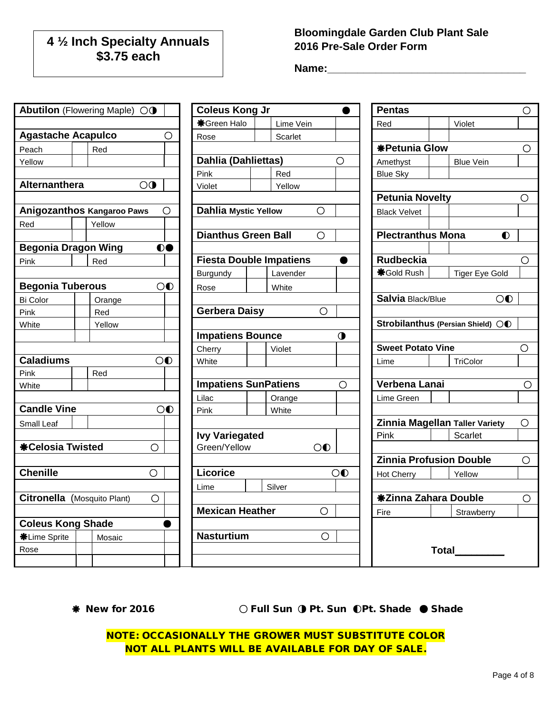# **4 ½ Inch Specialty Annuals \$3.75 each**

### **Bloomingdale Garden Club Plant Sale 2016 Pre-Sale Order Form**

**Name:\_\_\_\_\_\_\_\_\_\_\_\_\_\_\_\_\_\_\_\_\_\_\_\_\_\_\_\_\_\_\_\_\_**

|                             | Abutilon (Flowering Maple) OO     |                | <b>Coleus Kong Jr</b>          |                |                | <b>Pentas</b>                  |                                   |            |
|-----------------------------|-----------------------------------|----------------|--------------------------------|----------------|----------------|--------------------------------|-----------------------------------|------------|
|                             |                                   |                |                                |                |                |                                |                                   | O          |
|                             |                                   |                | <b>*</b> Green Halo            | Lime Vein      |                | Red                            | Violet                            |            |
| <b>Agastache Acapulco</b>   |                                   | О              | Rose                           | Scarlet        |                |                                |                                   |            |
| Peach                       | Red                               |                |                                |                |                | <b>*Petunia Glow</b>           |                                   | Ο          |
| Yellow                      |                                   |                | Dahlia (Dahliettas)            |                | $\bigcirc$     | Amethyst                       | <b>Blue Vein</b>                  |            |
|                             |                                   |                | Pink                           | Red            |                | <b>Blue Sky</b>                |                                   |            |
| Alternanthera               | $\overline{O}$                    |                | Violet                         | Yellow         |                |                                |                                   |            |
|                             |                                   |                |                                |                |                | <b>Petunia Novelty</b>         |                                   | O          |
|                             | <b>Anigozanthos Kangaroo Paws</b> | Ο              | <b>Dahlia Mystic Yellow</b>    | $\bigcirc$     |                | <b>Black Velvet</b>            |                                   |            |
| Red                         | Yellow                            |                |                                |                |                |                                |                                   |            |
|                             |                                   |                | <b>Dianthus Green Ball</b>     | $\bigcirc$     |                | <b>Plectranthus Mona</b>       | $\bullet$                         |            |
| <b>Begonia Dragon Wing</b>  |                                   | $\mathbf{O}$   |                                |                |                |                                |                                   |            |
| Pink                        | Red                               |                | <b>Fiesta Double Impatiens</b> |                |                | <b>Rudbeckia</b>               |                                   | O          |
|                             |                                   |                | Burgundy                       | Lavender       |                | <b><math>*</math>Gold Rush</b> | <b>Tiger Eye Gold</b>             |            |
| <b>Begonia Tuberous</b>     |                                   | $\overline{O}$ | Rose                           | White          |                |                                |                                   |            |
| Bi Color                    | Orange                            |                |                                |                |                | Salvia Black/Blue              | $\overline{O}$                    |            |
| Pink                        | Red                               |                | <b>Gerbera Daisy</b>           | $\bigcirc$     |                |                                |                                   |            |
| White                       | Yellow                            |                |                                |                |                |                                | Strobilanthus (Persian Shield) OO |            |
|                             |                                   |                | <b>Impatiens Bounce</b>        |                | $\mathbf 0$    |                                |                                   |            |
|                             |                                   |                | Cherry                         | Violet         |                | <b>Sweet Potato Vine</b>       |                                   | $\circ$    |
| <b>Caladiums</b>            |                                   | $\circledcirc$ | White                          |                |                | Lime                           | TriColor                          |            |
| Pink                        | Red                               |                |                                |                |                |                                |                                   |            |
| White                       |                                   |                | <b>Impatiens SunPatiens</b>    |                | $\circ$        | Verbena Lanai                  |                                   | $\bigcirc$ |
|                             |                                   |                | Lilac                          | Orange         |                | Lime Green                     |                                   |            |
| <b>Candle Vine</b>          |                                   | $\circledcirc$ | <b>Pink</b>                    | White          |                |                                |                                   |            |
| Small Leaf                  |                                   |                |                                |                |                |                                | Zinnia Magellan Taller Variety    | $\circ$    |
|                             |                                   |                | <b>Ivy Variegated</b>          |                |                | Pink                           | Scarlet                           |            |
| <b>*Celosia Twisted</b>     | $\circ$                           |                | Green/Yellow                   | $\overline{O}$ |                |                                |                                   |            |
|                             |                                   |                |                                |                |                | <b>Zinnia Profusion Double</b> |                                   | $\circ$    |
| <b>Chenille</b>             | $\circ$                           |                | Licorice                       |                | $\overline{O}$ | Hot Cherry                     | Yellow                            |            |
|                             |                                   |                | Lime                           | Silver         |                |                                |                                   |            |
| Citronella (Mosquito Plant) | $\bigcirc$                        |                |                                |                |                | <b>*Zinna Zahara Double</b>    |                                   | $\bigcirc$ |
|                             |                                   |                | <b>Mexican Heather</b>         | $\bigcirc$     |                | Fire                           | Strawberry                        |            |
| <b>Coleus Kong Shade</b>    |                                   |                |                                |                |                |                                |                                   |            |
| <b>*Lime Sprite</b>         | Mosaic                            |                | <b>Nasturtium</b>              | $\bigcirc$     |                |                                |                                   |            |
| Rose                        |                                   |                |                                |                |                |                                | <b>Total</b>                      |            |
|                             |                                   |                |                                |                |                |                                |                                   |            |

New for 2016○ Full Sun◑ Pt. Sun ◐Pt. Shade ● Shade

NOTE: OCCASIONALLY THE GROWER MUST SUBSTITUTE COLOR NOT ALL PLANTS WILL BE AVAILABLE FOR DAY OF SALE.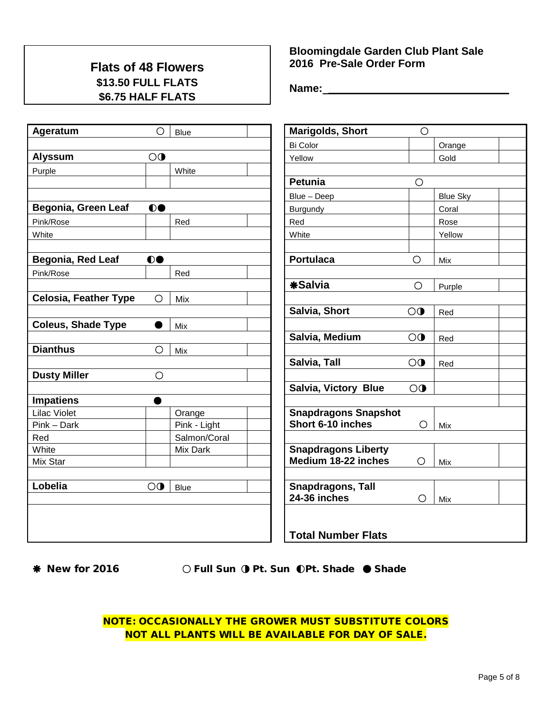## **Flats of 48 Flowers \$13.50 FULL FLATS \$6.75 HALF FLATS**

| Ageratum                     | $\circ$        | Blue         | <b>Marigolds, Short</b>     | $\bigcirc$              |                 |
|------------------------------|----------------|--------------|-----------------------------|-------------------------|-----------------|
|                              |                |              | <b>Bi Color</b>             |                         | Orange          |
| <b>Alyssum</b>               | $\overline{O}$ |              | Yellow                      |                         | Gold            |
| Purple                       |                | White        |                             |                         |                 |
|                              |                |              | <b>Petunia</b>              | $\bigcirc$              |                 |
|                              |                |              | Blue - Deep                 |                         | <b>Blue Sky</b> |
| Begonia, Green Leaf          | 00             |              | Burgundy                    |                         | Coral           |
| Pink/Rose                    |                | Red          | Red                         |                         | Rose            |
| White                        |                |              | White                       |                         | Yellow          |
|                              |                |              |                             |                         |                 |
| Begonia, Red Leaf            | 00             |              | <b>Portulaca</b>            | $\bigcirc$              | Mix             |
| Pink/Rose                    |                | Red          |                             |                         |                 |
|                              |                |              | <b>*Salvia</b>              | $\bigcirc$              | Purple          |
| <b>Celosia, Feather Type</b> | Ο              | Mix          |                             |                         |                 |
|                              |                |              | Salvia, Short               | $\overline{\mathbf{O}}$ | Red             |
| <b>Coleus, Shade Type</b>    |                | Mix          |                             |                         |                 |
|                              |                |              | Salvia, Medium              | $\overline{O}$          | Red             |
| <b>Dianthus</b>              | O              | Mix          |                             |                         |                 |
|                              |                |              | Salvia, Tall                | $\overline{O}$          | Red             |
| <b>Dusty Miller</b>          | O              |              |                             |                         |                 |
|                              |                |              | Salvia, Victory Blue        | $\overline{O}$          |                 |
| <b>Impatiens</b>             |                |              |                             |                         |                 |
| <b>Lilac Violet</b>          |                | Orange       | <b>Snapdragons Snapshot</b> |                         |                 |
| Pink - Dark                  |                | Pink - Light | Short 6-10 inches           | $\circ$                 | Mix             |
| Red                          |                | Salmon/Coral |                             |                         |                 |
| White                        |                | Mix Dark     | <b>Snapdragons Liberty</b>  |                         |                 |
| Mix Star                     |                |              | Medium 18-22 inches         | O                       | Mix             |
|                              |                |              |                             |                         |                 |
| Lobelia                      | $\overline{O}$ | <b>Blue</b>  | <b>Snapdragons, Tall</b>    |                         |                 |
|                              |                |              | 24-36 inches                | $\bigcirc$              | Mix             |
|                              |                |              |                             |                         |                 |
|                              |                |              | <b>Total Number Flats</b>   |                         |                 |
|                              |                |              |                             |                         |                 |

### **Bloomingdale Garden Club Plant Sale 2016 Pre-Sale Order Form**

**Name: \_\_\_\_\_\_\_\_\_\_\_\_\_\_\_\_\_\_\_\_\_\_\_\_\_\_\_\_\_\_**

New for 2016 ○ Full Sun◑ Pt. Sun ◐Pt. Shade ● Shade NOTE: OCCASIONALLY THE GROWER MUST SUBSTITUTE COLORS NOT ALL PLANTS WILL BE AVAILABLE FOR DAY OF SALE.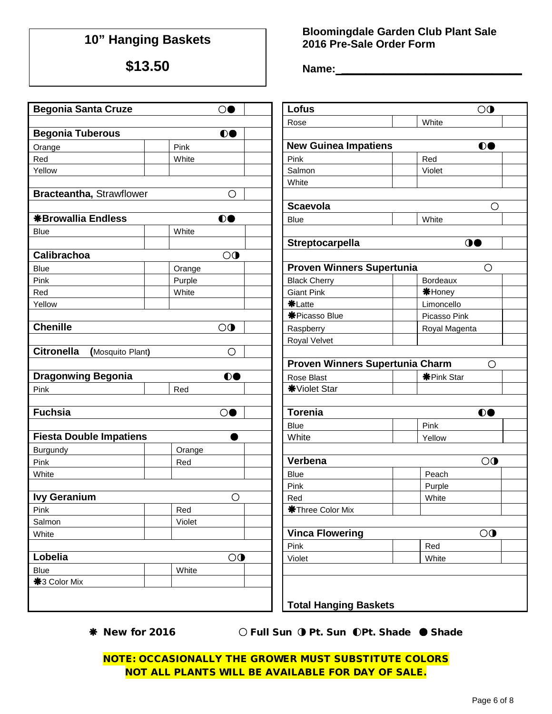# **10" Hanging Baskets**

**\$13.50**

### **Bloomingdale Garden Club Plant Sale 2016 Pre-Sale Order Form**

**Name:\_\_\_\_\_\_\_\_\_\_\_\_\_\_\_\_\_\_\_\_\_\_\_\_\_\_\_** 

|                                       | $\circ$                 | Lofus                            | $\overline{O}$    |
|---------------------------------------|-------------------------|----------------------------------|-------------------|
| <b>Begonia Santa Cruze</b>            |                         |                                  |                   |
|                                       |                         | Rose                             | White             |
| <b>Begonia Tuberous</b>               | $\bullet$               |                                  |                   |
| Orange                                | Pink                    | <b>New Guinea Impatiens</b>      | $\bullet$         |
| Red                                   | White                   | Pink                             | Red               |
| Yellow                                |                         | Salmon                           | Violet            |
|                                       |                         | White                            |                   |
| Bracteantha, Strawflower              | О                       |                                  |                   |
|                                       |                         | <b>Scaevola</b>                  | O                 |
| <b>*Browallia Endless</b>             | $\bullet$               | <b>Blue</b>                      | White             |
| <b>Blue</b>                           | White                   |                                  |                   |
|                                       |                         | Streptocarpella                  | $\bullet$         |
| Calibrachoa                           | $\overline{O}$          |                                  |                   |
| <b>Blue</b>                           | Orange                  | <b>Proven Winners Supertunia</b> | $\circ$           |
| Pink                                  | Purple                  | <b>Black Cherry</b>              | <b>Bordeaux</b>   |
| Red                                   | White                   | <b>Giant Pink</b>                | <b>*Honey</b>     |
| Yellow                                |                         | <b>*Latte</b>                    | Limoncello        |
|                                       |                         | <b>*Picasso Blue</b>             | Picasso Pink      |
| <b>Chenille</b>                       | $\overline{\mathbf{O}}$ | Raspberry                        | Royal Magenta     |
|                                       |                         | Royal Velvet                     |                   |
| <b>Citronella</b><br>(Mosquito Plant) | $\circ$                 |                                  |                   |
|                                       |                         | Proven Winners Supertunia Charm  | O                 |
| <b>Dragonwing Begonia</b>             | $\bullet$               | Rose Blast                       | <b>米Pink Star</b> |
| Pink                                  | Red                     | <b>*</b> Violet Star             |                   |
|                                       |                         |                                  |                   |
| <b>Fuchsia</b>                        | $\circ$                 | <b>Torenia</b>                   | 00                |
|                                       |                         | Blue                             | Pink              |
| <b>Fiesta Double Impatiens</b>        |                         | White                            | Yellow            |
| Burgundy                              | Orange                  |                                  |                   |
| Pink                                  | Red                     | Verbena                          | $\overline{O}$    |
| White                                 |                         | <b>Blue</b>                      | Peach             |
|                                       |                         | Pink                             | Purple            |
| <b>Ivy Geranium</b>                   | O                       | Red                              | White             |
| Pink                                  | Red                     | <b>*Three Color Mix</b>          |                   |
| Salmon                                | Violet                  |                                  |                   |
| White                                 |                         | <b>Vinca Flowering</b>           | $\overline{O}$    |
|                                       |                         | Pink                             | Red               |
| Lobelia                               | $\overline{O}$          | Violet                           | White             |
| Blue                                  | White                   |                                  |                   |
| <b>*3 Color Mix</b>                   |                         |                                  |                   |
|                                       |                         |                                  |                   |
|                                       |                         | <b>Total Hanging Baskets</b>     |                   |

New for 2016 ○ Full Sun◑ Pt. Sun ◐Pt. Shade ● Shade

NOTE: OCCASIONALLY THE GROWER MUST SUBSTITUTE COLORS NOT ALL PLANTS WILL BE AVAILABLE FOR DAY OF SALE.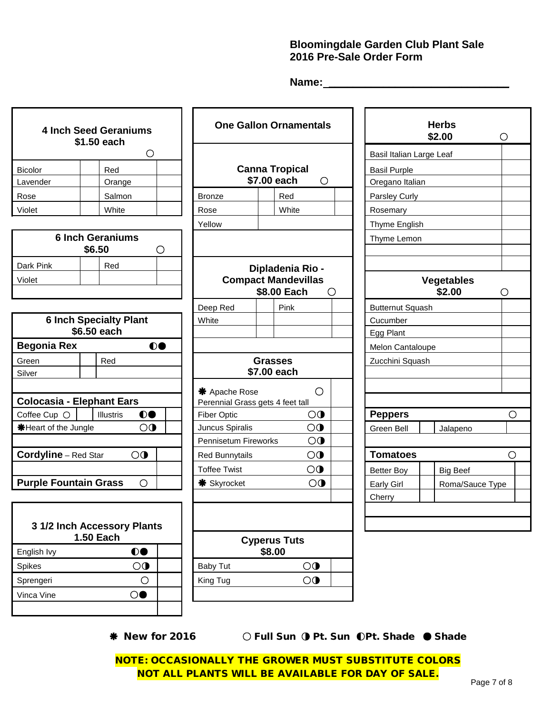### **Bloomingdale Garden Club Plant Sale 2016 Pre-Sale Order Form**

**Name: \_\_\_\_\_\_\_\_\_\_\_\_\_\_\_\_\_\_\_\_\_\_\_\_\_\_\_\_\_\_**

|                              | <b>4 Inch Seed Geraniums</b><br>\$1.50 each     |                                 | <b>One Gallon Ornamentals</b>                                      |                          | <b>Herbs</b><br>\$2.00      | $\circ$    |
|------------------------------|-------------------------------------------------|---------------------------------|--------------------------------------------------------------------|--------------------------|-----------------------------|------------|
|                              | O                                               |                                 |                                                                    | Basil Italian Large Leaf |                             |            |
| <b>Bicolor</b>               | Red                                             |                                 | <b>Canna Tropical</b>                                              | <b>Basil Purple</b>      |                             |            |
| Lavender                     | Orange                                          |                                 | \$7.00 each<br>$\circ$                                             | Oregano Italian          |                             |            |
| Rose                         | Salmon                                          | <b>Bronze</b>                   | Red                                                                | Parsley Curly            |                             |            |
| Violet                       | White                                           | Rose                            | White                                                              | Rosemary                 |                             |            |
|                              |                                                 | Yellow                          |                                                                    | Thyme English            |                             |            |
|                              | <b>6 Inch Geraniums</b><br>\$6.50<br>O          |                                 |                                                                    | Thyme Lemon              |                             |            |
| Dark Pink<br>Violet          | Red                                             |                                 | Dipladenia Rio -<br><b>Compact Mandevillas</b><br>\$8.00 Each<br>O |                          | <b>Vegetables</b><br>\$2.00 | O          |
|                              |                                                 | Deep Red                        | Pink                                                               | <b>Butternut Squash</b>  |                             |            |
|                              | <b>6 Inch Specialty Plant</b>                   | White                           |                                                                    | Cucumber                 |                             |            |
|                              | \$6.50 each                                     |                                 |                                                                    | Egg Plant                |                             |            |
| <b>Begonia Rex</b>           | $\bullet$                                       |                                 |                                                                    | Melon Cantaloupe         |                             |            |
| Green                        | Red                                             |                                 | Grasses                                                            | Zucchini Squash          |                             |            |
| Silver                       |                                                 |                                 | \$7.00 each                                                        |                          |                             |            |
|                              | <b>Colocasia - Elephant Ears</b>                | <b>*</b> Apache Rose            | $\bigcirc$<br>Perennial Grass gets 4 feet tall                     |                          |                             |            |
| Coffee Cup O                 | $\bullet$<br><b>Illustris</b>                   | <b>Fiber Optic</b>              | $\overline{O}$                                                     | <b>Peppers</b>           |                             | $\bigcirc$ |
| <b></b> *Heart of the Jungle | $\overline{O}$                                  | Juncus Spiralis                 | $\overline{O}$                                                     | Green Bell               | Jalapeno                    |            |
|                              |                                                 | <b>Pennisetum Fireworks</b>     | $\bigcirc$                                                         |                          |                             |            |
| <b>Cordyline</b> - Red Star  | $\overline{O}$                                  | <b>Red Bunnytails</b>           | $\overline{O}$                                                     | <b>Tomatoes</b>          |                             | $\circ$    |
|                              |                                                 | <b>Toffee Twist</b>             | $\overline{O}$                                                     | <b>Better Boy</b>        | <b>Big Beef</b>             |            |
| <b>Purple Fountain Grass</b> | $\circ$                                         | <b><math>*</math></b> Skyrocket | $\overline{O}$                                                     | <b>Early Girl</b>        | Roma/Sauce Type             |            |
|                              |                                                 |                                 |                                                                    | Cherry                   |                             |            |
|                              | 3 1/2 Inch Accessory Plants<br><b>1.50 Each</b> |                                 | <b>Cyperus Tuts</b>                                                |                          |                             |            |
| English Ivy                  | $\bullet$                                       |                                 | \$8.00                                                             |                          |                             |            |

| <b>1.50 Each</b> |    |  |          | <b>Cyperus Tuts</b> |  |
|------------------|----|--|----------|---------------------|--|
| English Ivy      | DC |  |          | \$8.00              |  |
| Spikes           | 70 |  | Baby Tut | ) ( I               |  |
| Sprengeri        |    |  | King Tug | ) (†                |  |
| Vinca Vine.      |    |  |          |                     |  |

Sprengeri ○ Nung Tug △ King Tug △ King Tug △ King Tug △ King Tug △ King Tug △ King Tug △ King Tug △ King Tug △ King Tug △ King Tug △ King Tug A King Tug △ King Tug A King Tug A King Tug A King Tug A King Tug A King Tug A K Vinca Vine ○●

New for 2016 ○ Full Sun◑ Pt. Sun ◐Pt. Shade ● Shade

NOTE: OCCASIONALLY THE GROWER MUST SUBSTITUTE COLORS NOT ALL PLANTS WILL BE AVAILABLE FOR DAY OF SALE.